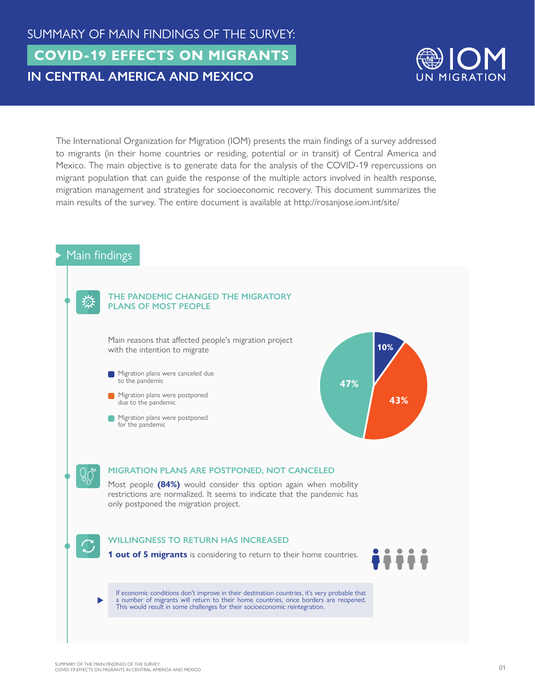

The International Organization for Migration (IOM) presents the main findings of a survey addressed to migrants (in their home countries or residing, potential or in transit) of Central America and Mexico. The main objective is to generate data for the analysis of the COVID-19 repercussions on migrant population that can guide the response of the multiple actors involved in health response, migration management and strategies for socioeconomic recovery. This document summarizes the main results of the survey. The entire document is available at http://rosanjose.iom.int/site/

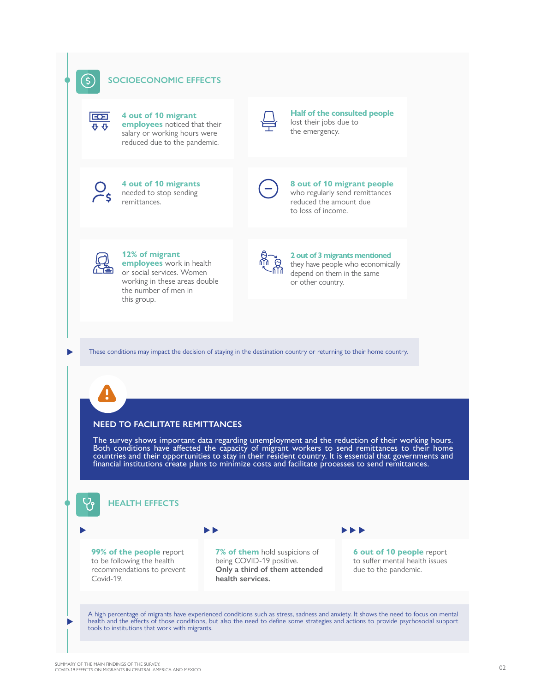

(\$)

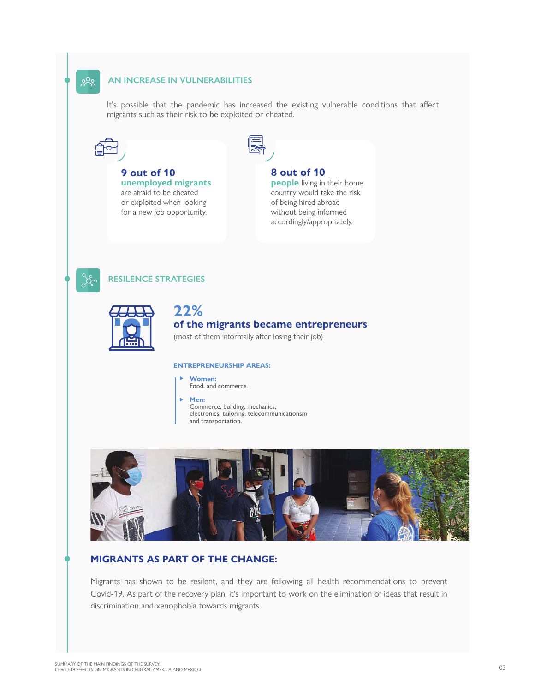#### **AN INCREASE IN VULNERABILITIES**

It's possible that the pandemic has increased the existing vulnerable conditions that affect migrants such as their risk to be exploited or cheated.



೫

**9 out of 10 unemployed migrants** are afraid to be cheated or exploited when looking for a new job opportunity.



#### **8 out of 10**

**people** living in their home country would take the risk of being hired abroad without being informed accordingly/appropriately.



#### **RESILENCE STRATEGIES**



# **22% of the migrants became entrepreneurs**

#### (most of them informally after losing their job)

#### **ENTREPRENEURSHIP AREAS:**

**Women:** Food, and commerce.







### **MIGRANTS AS PART OF THE CHANGE:**

Migrants has shown to be resilent, and they are following all health recommendations to prevent Covid-19. As part of the recovery plan, it's important to work on the elimination of ideas that result in discrimination and xenophobia towards migrants.